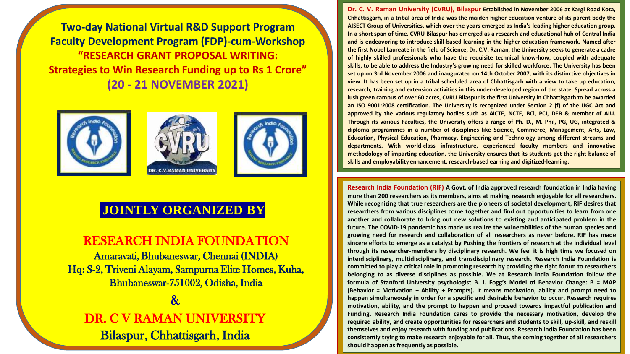**Two-day National Virtual R&D Support Program Faculty Development Program (FDP)-cum-Workshop "RESEARCH GRANT PROPOSAL WRITING: Strategies to Win Research Funding up to Rs 1 Crore" (20 - 21 NOVEMBER 2021) Two-day National Virtual R&D Support Program Faculty Development Program (FDP)-cum-Workshop "RESEARCH GRANT PROPOSAL WRITING: Strategies to Win Research Funding up to Rs 1 Crore" (20 - 21 NOVEMBER 2021)**







## **JOINTLY ORGANIZED JOINTLY ORGANIZED BY**

#### RESEARCH INDIA FOUNDATION Amaravati,Bhubaneswar, Chennai (INDIA) RESEARCH INDIA FOUNDATION

Amaravati, Bhubaneswar, Chennai (INDIA) Hq: S-2, Triveni Alayam, Sampurna Elite Homes, Kuha,  $\overline{\mathbf{a}}$ Bhubaneswar-751002, Odisha, India

DR. C V RAMAN UNIVERSITY  $B^1$   $B^1$   $C^1$   $D^1$   $C^1$   $D^1$   $D^1$ & DR. C V RAMAN UNIVERSITY Bilaspur, Chhattisgarh, India

**Dr. C. V. Raman University (CVRU), Bilaspur Established in November 2006 at Kargi Road Kota,** Chhattisgarh, in a tribal area of India was the maiden higher education venture of its parent body the **AISECT Group of Universities, which over the years emerged as India's leading higher education group.** In a short span of time, CVRU Bilaspur has emerged as a research and educational hub of Central India **and is endeavoring to introduce skill-based learning in the higher education framework. Named after** the first Nobel Laureate in the field of Science, Dr. C.V. Raman, the University seeks to generate a cadre **of highly skilled professionals who have the requisite technical know-how, coupled with adequate skills, to be able to address the Industry's growing need for skilled workforce. The University has been set up on 3rd November 2006 and inaugurated on 14th October 2007, with its distinctive objectives in** view. It has been set up in a tribal scheduled area of Chhattisgarh with a view to take up education, **research, training and extension activities in this under-developed region of the state. Spread across a** lush green campus of over 60 acres, CVRU Bilaspur is the first University in Chhattisgarh to be awarded **an ISO 9001:2008 certification. The University is recognized under Section 2 (f) of the UGC Act and approved by the various regulatory bodies such as AICTE, NCTE, BCl, PCI, DEB & member of AIU.** Through its various Faculties, the University offers a range of Ph. D., M. Phil, PG, UG, integrated & **diploma programmes in a number of disciplines like Science, Commerce, Management, Arts, Law, Education, Physical Education, Pharmacy, Engineering and Technology among different streams and departments. With world-class infrastructure, experienced faculty members and innovative methodology of imparting education, the University ensures that its students get the right balance of skills and employability enhancement, research-based earning and digitized-learning.**

**Research India Foundation (RIF) A Govt. of India approved research foundation in India having more than 200 researchers as its members, aims at making research enjoyable for all researchers. While recognizing that true researchers are the pioneers of societal development, RIF desires that researchers from various disciplines come together and find out opportunities to learn from one another and collaborate to bring out new solutions to existing and anticipated problem in the future. The COVID-19 pandemic has made us realize the vulnerabilities of the human species and growing need for research and collaboration of all researchers as never before. RIF has made sincere efforts to emerge as a catalyst by Pushing the frontiers of research at the individual level through its researcher-members by disciplinary research. We feel it is high time we focused on interdisciplinary, multidisciplinary, and transdisciplinary research. Research India Foundation is committed to play a critical role in promoting research by providing the right forum to researchers belonging to as diverse disciplines as possible. We at Research India Foundation follow the formula of Stanford University psychologist B. J. Fogg's Model of Behavior Change: B = MAP (Behavior = Motivation + Ability + Prompts). It means motivation, ability and prompt need to happen simultaneously in order for a specific and desirable behavior to occur. Research requires motivation, ability, and the prompt to happen and proceed towards impactful publication and Funding. Research India Foundation cares to provide the necessary motivation, develop the required ability, and create opportunities for researchers and students to skill, up-skill, and reskill themselves and enjoy research with funding and publications. Research India Foundation has been consistently trying to make research enjoyable for all. Thus, the coming together of all researchers should happen as frequently as possible.**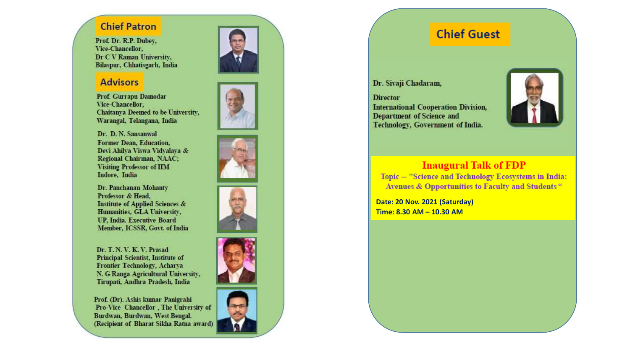#### **Chief Patron**

Prof. Dr. R.P. Dubey, Vice-Chancellor, Dr C V Raman University, Bilaspur, Chhatisgarh, India

#### **Advisors**

Prof. Gurrapu Damodar Vice-Chancellor. Chaitanya Deemed to be University, Warangal, Telangana, India

Dr. D. N. Sansanwal Former Dean, Education. Devi Ahilya Viswa Vidyalaya & Regional Chairman, NAAC; **Visiting Professor of IIM** Indore, India

Dr. Panchanan Mohanty Professor & Head. **Institute of Applied Sciences &** Humanities, GLA University, **UP. India. Executive Board** Member, ICSSR, Govt. of India

Dr. T. N. V. K. V. Prasad Principal Scientist, Institute of Frontier Technology, Acharya N. G Ranga Agricultural University, Tirupati, Andhra Pradesh, India

Prof. (Dr). Ashis kumar Panigrahi Pro-Vice Chancellor, The University of Burdwan, Burdwan, West Bengal. (Recipient of Bharat Sikha Ratna award)













# **Chief Guest**

Dr. Sivaji Chadaram,

**Director International Cooperation Division,** Department of Science and Technology, Government of India.



## **Inaugural Talk of FDP**

Topic -- "Science and Technology Ecosystems in India: Avenues & Opportunities to Faculty and Students"

Date: 20 Nov. 2021 (Saturday) Time: 8.30 AM - 10.30 AM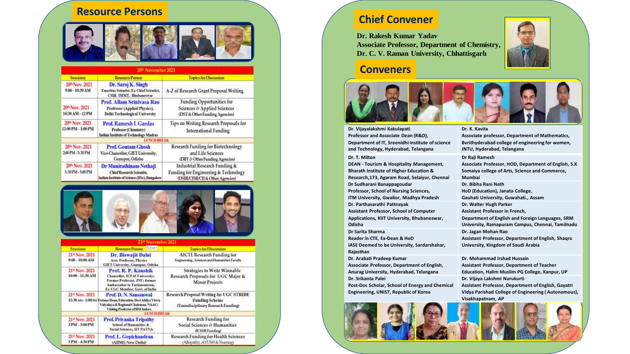# **Resource Persons Chief Convener**



| 20th November 2021                              |                                                                                                              |                                                                                                           |
|-------------------------------------------------|--------------------------------------------------------------------------------------------------------------|-----------------------------------------------------------------------------------------------------------|
| <b>Sessions</b>                                 | <b>Resource Person</b>                                                                                       | <b>Topics for Discussion</b>                                                                              |
| 20th Nov. 2021<br>9:00-10:30 AM                 | Dr. Saroj K. Singh<br>Emeritus Scientist, Ex-Chief Scientist,<br><b>CSIR-IMMT, Bhubaneswar</b>               | A-Z of Research Grant Proposal Writing                                                                    |
| 20 <sup>th</sup> Nov. 2021<br>10:30 AM-12 PM    | Prof. Allam Sriniyasa Rao<br>Professor (Applied Physics),<br><b>Delhi Technological University</b>           | <b>Funding Opportunities for</b><br>Sciences & Applied Sciences<br>(DST & Other Funding Agencies)         |
| 20th Nov. 2021<br>12:00 PM - 1:00 PM            | <b>Prof. Ramesh L Gardas</b><br>Professor (Chemistry)<br>Indian Institute of Technology Madras               | Tips on Writing Research Proposals for<br><b>International Funding</b>                                    |
|                                                 | <b>LUNCH HREAK</b>                                                                                           |                                                                                                           |
| 20 <sup>th</sup> Nov. 2021<br>200 PM - 3:30 PM  | <b>Prof. Goutam Ghosh</b><br>Vice-Chancellor, GIET University,<br>Gunupur, Odisha                            | Research Funding for Biotechnology<br>and Life Sciences<br>(DBT & Other Funding Agencies)                 |
| 20 <sup>th</sup> Nov. 2021<br>3:30 PM - 5:00 PM | Dr Munirathinam Nethaji<br><b>Chief Research Scientist.</b><br>Indian Institute of Science (IISc), Bangalore | Industrial Research Funding &<br>Funding for Engineering & Technology<br>(DSIR/CISR/CII & Other Agencies) |



| 21 <sup>st</sup> November 2021   |                                                                                                                                                                        |                                                                                                                  |
|----------------------------------|------------------------------------------------------------------------------------------------------------------------------------------------------------------------|------------------------------------------------------------------------------------------------------------------|
| <b>Sessions</b>                  | Resource Person <b>ELIDER</b>                                                                                                                                          | <b>Topics for Discussion</b>                                                                                     |
| 21st Nov. 2021<br>9:00-10:00 AM  | Dr. Biswajit Dalai<br><b>Asst. Professor, Physics</b><br><b>GIET University, Guaupur, Odisha</b>                                                                       | <b>AICTE Research Funding for</b><br>Engineering, Sciences and Humanities Faculty                                |
| 21st Nov. 2021<br>10:00-11:30 AM | <b>Prof. R. P. Kaushik</b><br>Chancellor, ICFAI University;<br>Former Professor, JNU; former<br>Ambassador to Turkmenistan:<br>Ex-UGC Member, Govt. of India           | <b>Strategies to Write Winnable</b><br>Research Proposals for UGC Major &<br><b>Minor Projects</b>               |
| 21* Nov. 2021                    | <b>Prof. D. N. Sansanwal</b><br>11:30 AM-1:00 PM Former Dean, Education, Devi Ahilya Viswa<br>Vidyalaya & Regional Chairman, NAAC;<br>Visiting Professor of IIM Indore | <b>Research Proposal Writing for UGC STRIDE</b><br><b>Funding Scheme</b><br>(Transdisciplinary Research Funding) |
|                                  | <b>LUNCH BREAK</b>                                                                                                                                                     |                                                                                                                  |
| 21* Nov. 2021<br>2 PM-3:00 PM    | <b>Frof. Privanka Tripathy</b><br><b>School of Humanities &amp;</b><br><b>Social Sciences, IIT PATNA</b>                                                               | <b>Research Funding for</b><br>Social Sciences & Humanities<br>(ICSSR Funding)                                   |
| 21st Nov. 2021<br>3 PM-4:30 PM   | <b>Prof. L. Gopichandran</b><br>(AIIMS, New Delhi)                                                                                                                     | Research Funding for Health Sciences<br>(Allopathy, AYUSH & Nursing)                                             |

**Dr. Rakesh Kumar Yadav Associate Professor, Department of Chemistry, Dr. C. V. Raman University, Chhattisgarh**



#### **Conveners**



**Dr. Vijayalakshmi Kakulapati Professor and Associate Dean (R&D), Department of IT, Sreenidhi institute of science and Technology, Hyderabad, Telangana**

#### **Dr. T. Milton**

**DEAN - Tourism & Hospitality Management, Bharath Institute of Higher Education & Research,173, Agaram Road, Selaiyur, Chennai Dr Sudharani Banappagoudar Professor, School of Nursing Sciences, ITM University, Gwalior, Madhya Pradesh Dr. Parthasarathi Pattnayak Assistant Professor, School of Computer Applications, KIIT University, Bhubaneswar, Odisha Dr Sarita Sharma Reader in CTE, Ex-Dean & HoD IASE Deemed to be University, Sardarshahar, Rajasthan Dr. Arabati Pradeep Kumar Associate Professor, Department of English,** 

**Anurag University, Hyderabad, Telangana Dr. Srikanta Palei Post-Doc Scholar, School of Energy and Chemical Engineering, UNIST, Republic of Korea**

#### **Dr. K. Kavita**

**Associate professor, Department of Mathematics, Bvrithyderabad college of engineering for women, JNTU, Hyderabad, Telangana**

#### **Dr Raji Ramesh**

**Associate Professor, HOD, Department of English, S.K Somaiya college of Arts, Science and Commerce, Mumbai Dr. Bibha Rani Nath HoD (Education), Janata College, Gauhati University, Guwahati., Assam Dr. Walter Hugh Parker Assistant Professor in French, Department of English and Foreign Languages, SRM University, Ramapuram Campus, Chennai, Tamilnadu Dr. Jagan Mohan Rao Assistant Professor, Department of English, Shaqra University, Kingdom of Saudi Arabia**

**Dr. Mohammad Irshad Hussain Assistant Professor, Department of Teacher Education, Halim Muslim PG College, Kanpur, UP Dr. Vijaya Lakshmi Nurukurti Assistant Professor, Department of English, Gayatri Vidya Parishad College of Engineering ( Autonomous), Visakhapatnam, AP**